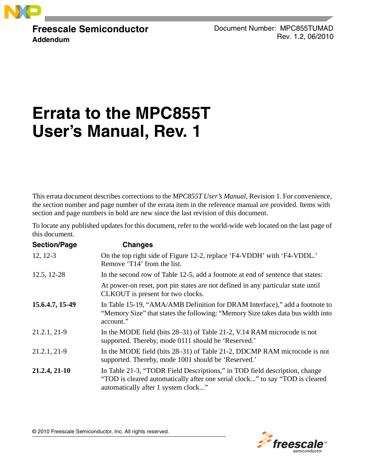

**Freescale Semiconductor Addendum**

Document Number: MPC855TUMAD Rev. 1.2, 06/2010

# **Errata to the MPC855T User's Manual, Rev. 1**

This errata document describes corrections to the *MPC855T User's Manual*, Revision 1. For convenience, the section number and page number of the errata item in the reference manual are provided. Items with section and page numbers in bold are new since the last revision of this document.

To locate any published updates for this document, refer to the world-wide web located on the last page of this document.

| <b>Section/Page</b> | <b>Changes</b>                                                                                                                                                                                    |
|---------------------|---------------------------------------------------------------------------------------------------------------------------------------------------------------------------------------------------|
| $12, 12-3$          | On the top right side of Figure 12-2, replace 'F4-VDDH' with 'F4-VDDL.'<br>Remove 'T14' from the list.                                                                                            |
| 12.5, 12-28         | In the second row of Table 12-5, add a footnote at end of sentence that states:                                                                                                                   |
|                     | At power-on reset, port pin states are not defined in any particular state until<br>CLKOUT is present for two clocks.                                                                             |
| 15.6.4.7, 15-49     | In Table 15-19, "AMA/AMB Definition for DRAM Interface)," add a footnote to<br>"Memory Size" that states the following: "Memory Size takes data bus width into<br>account."                       |
| 21.2.1, 21-9        | In the MODE field (bits 28–31) of Table 21-2, V.14 RAM microcode is not<br>supported. Thereby, mode 0111 should be 'Reserved.'                                                                    |
| 21.2.1, 21-9        | In the MODE field (bits 28–31) of Table 21-2, DDCMP RAM microcode is not<br>supported. Thereby, mode 1001 should be 'Reserved.'                                                                   |
| 21.2.4, 21-10       | In Table 21-3, "TODR Field Descriptions," in TOD field description, change<br>"TOD is cleared automatically after one serial clock" to say "TOD is cleared<br>automatically after 1 system clock" |



© 2010 Freescale Semiconductor, Inc. All rights reserved.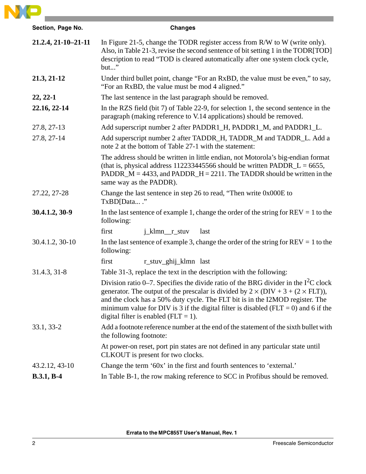

| Section, Page No.   | <b>Changes</b>                                                                                                                                                                                                                                                                                                                                                                                               |
|---------------------|--------------------------------------------------------------------------------------------------------------------------------------------------------------------------------------------------------------------------------------------------------------------------------------------------------------------------------------------------------------------------------------------------------------|
| 21.2.4, 21-10-21-11 | In Figure 21-5, change the TODR register access from R/W to W (write only).<br>Also, in Table 21-3, revise the second sentence of bit setting 1 in the TODR[TOD]<br>description to read "TOD is cleared automatically after one system clock cycle,<br>but"                                                                                                                                                  |
| 21.3, 21-12         | Under third bullet point, change "For an RxBD, the value must be even," to say,<br>"For an RxBD, the value must be mod 4 aligned."                                                                                                                                                                                                                                                                           |
| $22, 22-1$          | The last sentence in the last paragraph should be removed.                                                                                                                                                                                                                                                                                                                                                   |
| 22.16, 22-14        | In the RZS field (bit 7) of Table 22-9, for selection 1, the second sentence in the<br>paragraph (making reference to V.14 applications) should be removed.                                                                                                                                                                                                                                                  |
| 27.8, 27-13         | Add superscript number 2 after PADDR1_H, PADDR1_M, and PADDR1_L.                                                                                                                                                                                                                                                                                                                                             |
| 27.8, 27-14         | Add superscript number 2 after TADDR_H, TADDR_M and TADDR_L. Add a<br>note 2 at the bottom of Table 27-1 with the statement:                                                                                                                                                                                                                                                                                 |
|                     | The address should be written in little endian, not Motorola's big-endian format<br>(that is, physical address 112233445566 should be written $PADDR_L = 6655$ ,<br>PADDR_M = 4433, and PADDR_H = 2211. The TADDR should be written in the<br>same way as the PADDR).                                                                                                                                        |
| 27.22, 27-28        | Change the last sentence in step 26 to read, "Then write 0x000E to<br>TxBD[Data"                                                                                                                                                                                                                                                                                                                             |
| 30.4.1.2, 30-9      | In the last sentence of example 1, change the order of the string for $REV = 1$ to the<br>following:                                                                                                                                                                                                                                                                                                         |
|                     | j_klmn_r_stuv<br>first<br>last                                                                                                                                                                                                                                                                                                                                                                               |
| 30.4.1.2, 30-10     | In the last sentence of example 3, change the order of the string for $REV = 1$ to the<br>following:                                                                                                                                                                                                                                                                                                         |
|                     | first<br>r_stuv_ghij_klmn last                                                                                                                                                                                                                                                                                                                                                                               |
| 31.4.3, 31-8        | Table 31-3, replace the text in the description with the following:                                                                                                                                                                                                                                                                                                                                          |
|                     | Division ratio 0–7. Specifies the divide ratio of the BRG divider in the $I2C$ clock<br>generator. The output of the prescalar is divided by $2 \times (DIV + 3 + (2 \times FLT))$ ,<br>and the clock has a 50% duty cycle. The FLT bit is in the I2MOD register. The<br>minimum value for DIV is 3 if the digital filter is disabled ( $FLT = 0$ ) and 6 if the<br>digital filter is enabled ( $FLT = 1$ ). |
| 33.1, 33-2          | Add a footnote reference number at the end of the statement of the sixth bullet with<br>the following footnote:                                                                                                                                                                                                                                                                                              |
|                     | At power-on reset, port pin states are not defined in any particular state until<br>CLKOUT is present for two clocks.                                                                                                                                                                                                                                                                                        |
| 43.2.12, 43-10      | Change the term '60x' in the first and fourth sentences to 'external.'                                                                                                                                                                                                                                                                                                                                       |
| $B.3.1, B-4$        | In Table B-1, the row making reference to SCC in Profibus should be removed.                                                                                                                                                                                                                                                                                                                                 |